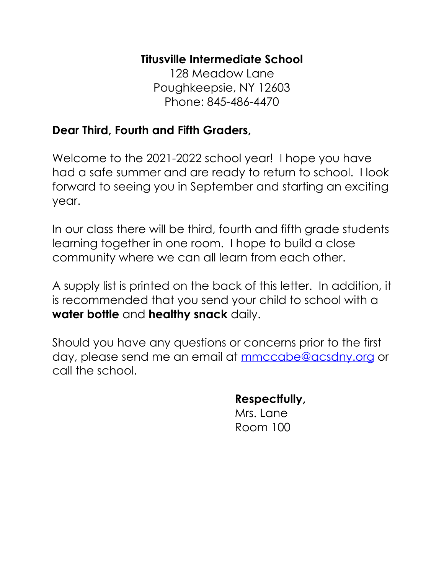### **Titusville Intermediate School**

128 Meadow Lane Poughkeepsie, NY 12603 Phone: 845-486-4470

### **Dear Third, Fourth and Fifth Graders,**

Welcome to the 2021-2022 school year! I hope you have had a safe summer and are ready to return to school. I look forward to seeing you in September and starting an exciting year.

In our class there will be third, fourth and fifth grade students learning together in one room. I hope to build a close community where we can all learn from each other.

A supply list is printed on the back of this letter. In addition, it is recommended that you send your child to school with a **water bottle** and **healthy snack** daily.

Should you have any questions or concerns prior to the first day, please send me an email at [mmccabe@acsdny.org](mailto:mmccabe@acsdny.org) or call the school.

**Respectfully,**

Mrs. Lane Room 100